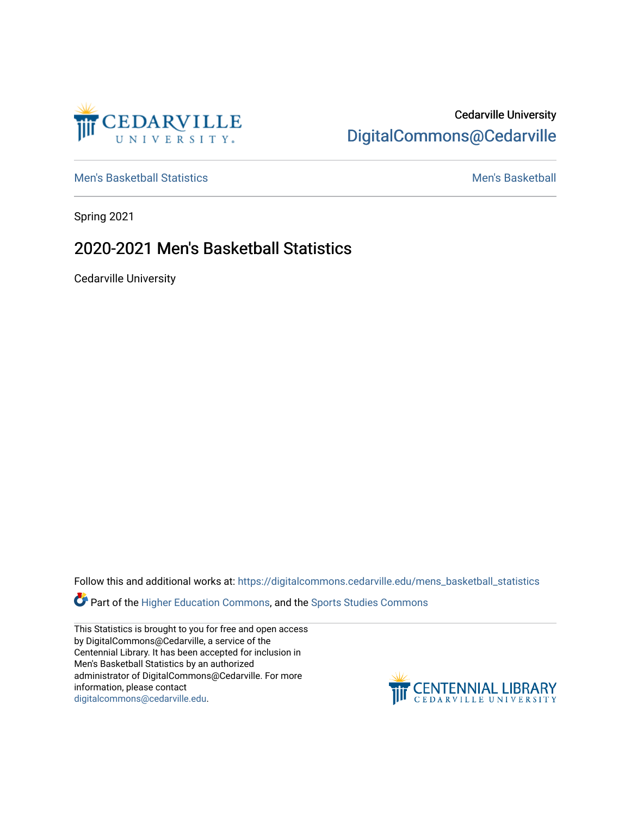

## Cedarville University [DigitalCommons@Cedarville](https://digitalcommons.cedarville.edu/)

[Men's Basketball Statistics](https://digitalcommons.cedarville.edu/mens_basketball_statistics) [Men's Basketball](https://digitalcommons.cedarville.edu/mens_basketball) 

Spring 2021

## 2020-2021 Men's Basketball Statistics

Cedarville University

Follow this and additional works at: [https://digitalcommons.cedarville.edu/mens\\_basketball\\_statistics](https://digitalcommons.cedarville.edu/mens_basketball_statistics?utm_source=digitalcommons.cedarville.edu%2Fmens_basketball_statistics%2F392&utm_medium=PDF&utm_campaign=PDFCoverPages) 

Part of the [Higher Education Commons,](http://network.bepress.com/hgg/discipline/1245?utm_source=digitalcommons.cedarville.edu%2Fmens_basketball_statistics%2F392&utm_medium=PDF&utm_campaign=PDFCoverPages) and the [Sports Studies Commons](http://network.bepress.com/hgg/discipline/1198?utm_source=digitalcommons.cedarville.edu%2Fmens_basketball_statistics%2F392&utm_medium=PDF&utm_campaign=PDFCoverPages) 

This Statistics is brought to you for free and open access by DigitalCommons@Cedarville, a service of the Centennial Library. It has been accepted for inclusion in Men's Basketball Statistics by an authorized administrator of DigitalCommons@Cedarville. For more information, please contact [digitalcommons@cedarville.edu](mailto:digitalcommons@cedarville.edu).